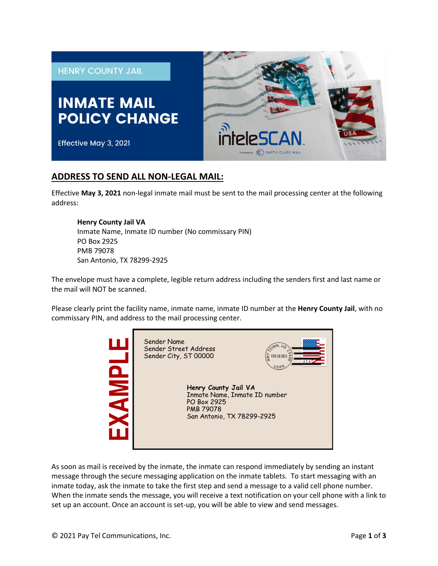

# **ADDRESS TO SEND ALL NON-LEGAL MAIL:**

Effective **May 3, 2021** non-legal inmate mail must be sent to the mail processing center at the following address:

#### **Henry County Jail VA**

Inmate Name, Inmate ID number (No commissary PIN) PO Box 2925 PMB 79078 San Antonio, TX 78299-2925

The envelope must have a complete, legible return address including the senders first and last name or the mail will NOT be scanned.

Please clearly print the facility name, inmate name, inmate ID number at the **Henry County Jail**, with no commissary PIN, and address to the mail processing center.



As soon as mail is received by the inmate, the inmate can respond immediately by sending an instant message through the secure messaging application on the inmate tablets. To start messaging with an inmate today, ask the inmate to take the first step and send a message to a valid cell phone number. When the inmate sends the message, you will receive a text notification on your cell phone with a link to set up an account. Once an account is set-up, you will be able to view and send messages.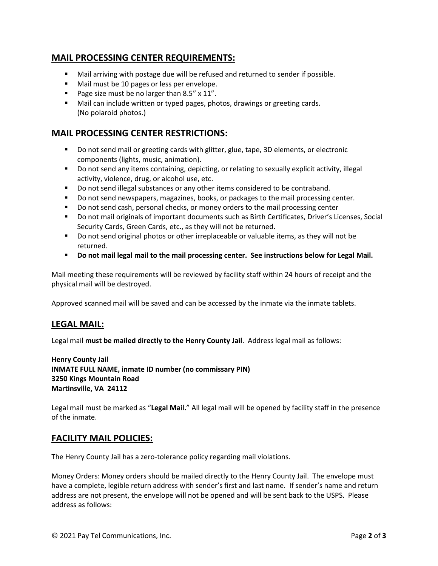# **MAIL PROCESSING CENTER REQUIREMENTS:**

- Mail arriving with postage due will be refused and returned to sender if possible.
- Mail must be 10 pages or less per envelope.
- Page size must be no larger than  $8.5'' \times 11''$ .
- Mail can include written or typed pages, photos, drawings or greeting cards. (No polaroid photos.)

# **MAIL PROCESSING CENTER RESTRICTIONS:**

- **Do not send mail or greeting cards with glitter, glue, tape, 3D elements, or electronic** components (lights, music, animation).
- Do not send any items containing, depicting, or relating to sexually explicit activity, illegal activity, violence, drug, or alcohol use, etc.
- Do not send illegal substances or any other items considered to be contraband.
- Do not send newspapers, magazines, books, or packages to the mail processing center.
- Do not send cash, personal checks, or money orders to the mail processing center
- Do not mail originals of important documents such as Birth Certificates, Driver's Licenses, Social Security Cards, Green Cards, etc., as they will not be returned.
- Do not send original photos or other irreplaceable or valuable items, as they will not be returned.
- **Do not mail legal mail to the mail processing center. See instructions below for Legal Mail.**

Mail meeting these requirements will be reviewed by facility staff within 24 hours of receipt and the physical mail will be destroyed.

Approved scanned mail will be saved and can be accessed by the inmate via the inmate tablets.

## **LEGAL MAIL:**

Legal mail **must be mailed directly to the Henry County Jail**. Address legal mail as follows:

**Henry County Jail INMATE FULL NAME, inmate ID number (no commissary PIN) 3250 Kings Mountain Road Martinsville, VA 24112** 

Legal mail must be marked as "**Legal Mail.**" All legal mail will be opened by facility staff in the presence of the inmate.

## **FACILITY MAIL POLICIES:**

The Henry County Jail has a zero-tolerance policy regarding mail violations.

Money Orders: Money orders should be mailed directly to the Henry County Jail. The envelope must have a complete, legible return address with sender's first and last name. If sender's name and return address are not present, the envelope will not be opened and will be sent back to the USPS. Please address as follows: